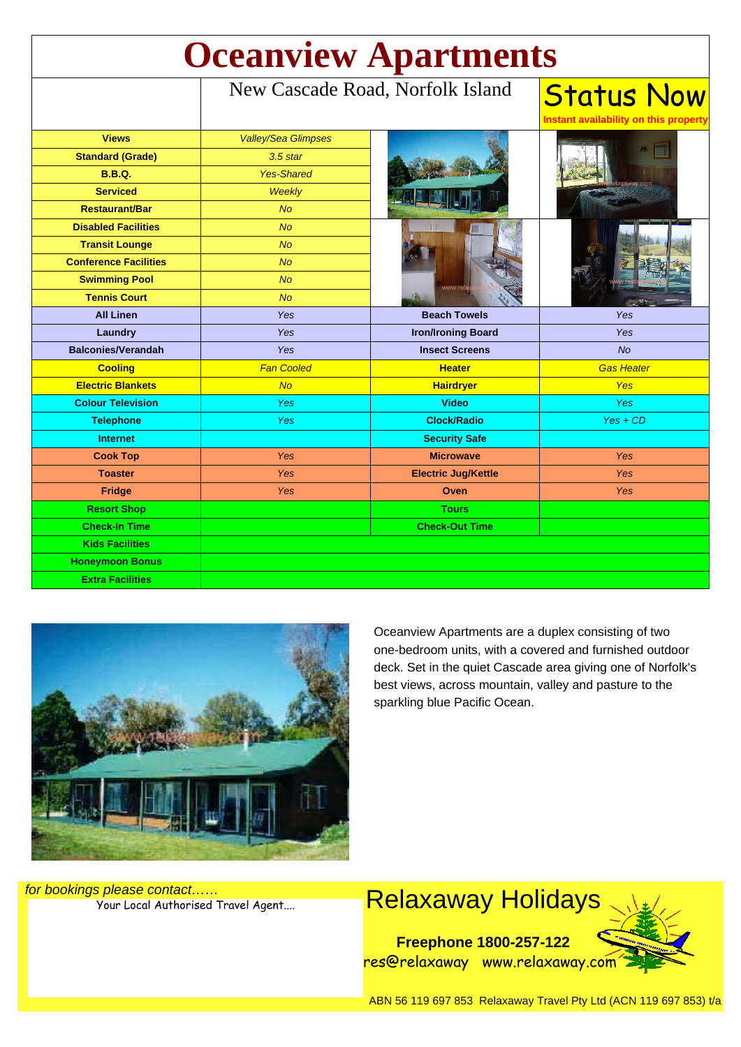| <b>Oceanview Apartments</b>  |                                  |                            |                                                            |
|------------------------------|----------------------------------|----------------------------|------------------------------------------------------------|
|                              | New Cascade Road, Norfolk Island |                            | <b>Status Now</b><br>Instant availability on this property |
| <b>Views</b>                 | <b>Valley/Sea Glimpses</b>       |                            |                                                            |
| <b>Standard (Grade)</b>      | $3.5$ star                       |                            |                                                            |
| <b>B.B.Q.</b>                | <b>Yes-Shared</b>                |                            |                                                            |
| <b>Serviced</b>              | Weekly                           |                            |                                                            |
| <b>Restaurant/Bar</b>        | <b>No</b>                        |                            |                                                            |
| <b>Disabled Facilities</b>   | <b>No</b>                        | <b>MAANA</b>               |                                                            |
| <b>Transit Lounge</b>        | <b>No</b>                        |                            |                                                            |
| <b>Conference Facilities</b> | <b>No</b>                        |                            |                                                            |
| <b>Swimming Pool</b>         | <b>No</b>                        |                            |                                                            |
| <b>Tennis Court</b>          | No                               |                            |                                                            |
| <b>All Linen</b>             | Yes                              | <b>Beach Towels</b>        | Yes                                                        |
| <b>Laundry</b>               | Yes                              | <b>Iron/Ironing Board</b>  | <b>Yes</b>                                                 |
| <b>Balconies/Verandah</b>    | Yes                              | <b>Insect Screens</b>      | No                                                         |
| <b>Cooling</b>               | <b>Fan Cooled</b>                | <b>Heater</b>              | <b>Gas Heater</b>                                          |
| <b>Electric Blankets</b>     | <b>No</b>                        | <b>Hairdryer</b>           | <b>Yes</b>                                                 |
| <b>Colour Television</b>     | <b>Yes</b>                       | <b>Video</b>               | <b>Yes</b>                                                 |
| <b>Telephone</b>             | <b>Yes</b>                       | <b>Clock/Radio</b>         | $Yes + CD$                                                 |
| <b>Internet</b>              |                                  | <b>Security Safe</b>       |                                                            |
| <b>Cook Top</b>              | <b>Yes</b>                       | <b>Microwave</b>           | <b>Yes</b>                                                 |
| <b>Toaster</b>               | Yes                              | <b>Electric Jug/Kettle</b> | <b>Yes</b>                                                 |
| Fridge                       | Yes                              | Oven                       | <b>Yes</b>                                                 |
| <b>Resort Shop</b>           |                                  | <b>Tours</b>               |                                                            |
| <b>Check-In Time</b>         |                                  | <b>Check-Out Time</b>      |                                                            |
| <b>Kids Facilities</b>       |                                  |                            |                                                            |
| <b>Honeymoon Bonus</b>       |                                  |                            |                                                            |
| <b>Extra Facilities</b>      |                                  |                            |                                                            |



Oceanview Apartments are a duplex consisting of two one-bedroom units, with a covered and furnished outdoor deck. Set in the quiet Cascade area giving one of Norfolk's best views, across mountain, valley and pasture to the sparkling blue Pacific Ocean.

for bookings please contact……